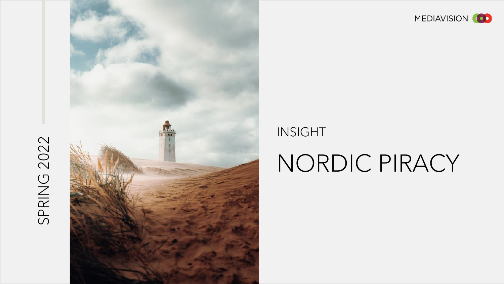# SPRING 2022





# INSIGHT

# NORDIC PIRACY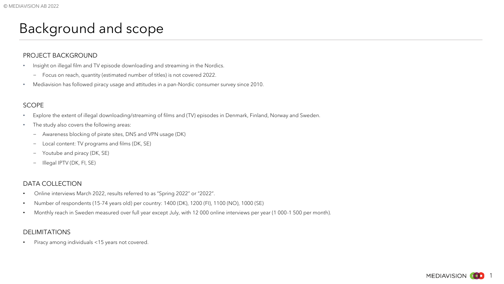# Background and scope

### PROJECT BACKGROUND

- Insight on illegal film and TV episode downloading and streaming in the Nordics.
	- − Focus on reach, quantity (estimated number of titles) is not covered 2022.
- Mediavision has followed piracy usage and attitudes in a pan-Nordic consumer survey since 2010.

### SCOPE

- Explore the extent of illegal downloading/streaming of films and (TV) episodes in Denmark, Finland, Norway and Sweden.
- The study also covers the following areas:
	- − Awareness blocking of pirate sites, DNS and VPN usage (DK)
	- − Local content: TV programs and films (DK, SE)
	- − Youtube and piracy (DK, SE)
	- − Illegal IPTV (DK, FI, SE)

### DATA COLLECTION

- Online interviews March 2022, results referred to as "Spring 2022" or "2022".
- Number of respondents (15-74 years old) per country: 1400 (DK), 1200 (FI), 1100 (NO), 1000 (SE)
- Monthly reach in Sweden measured over full year except July, with 12 000 online interviews per year (1 000-1 500 per month).

### DELIMITATIONS

• Piracy among individuals <15 years not covered.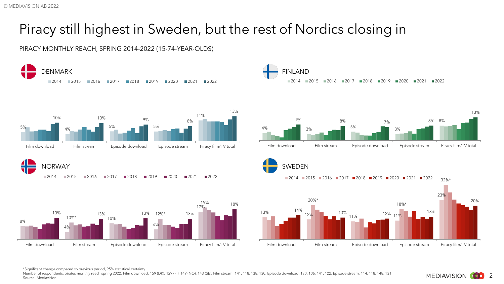# Piracy still highest in Sweden, but the rest of Nordics closing in

PIRACY MONTHLY REACH, SPRING 2014-2022 (15-74-YEAR-OLDS)



\*Significant change compared to previous period, 95% statistical certainty.

Number of respondents, pirates monthly reach spring 2022: Film download: 159 (DK), 129 (FI), 149 (NO), 143 (SE). Film stream: 141, 118, 138, 130, Episode download: 130, 106, 141, 122. Episode stream: 114, 118, 148, 131. Source: Mediavision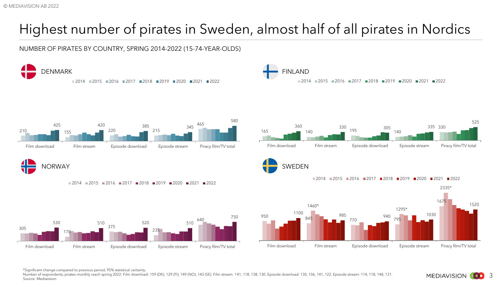# Highest number of pirates in Sweden, almost half of all pirates in Nordics

NUMBER OF PIRATES BY COUNTRY, SPRING 2014-2022 (15-74-YEAR-OLDS)



\*Significant change compared to previous period, 95% statistical certainty.

Number of respondents, pirates monthly reach spring 2022: Film download: 159 (DK), 129 (FI), 149 (NO), 143 (SE). Film stream: 141, 118, 138, 130, Episode download: 130, 106, 141, 122. Episode stream: 114, 118, 148, 131. Source: Mediavision

3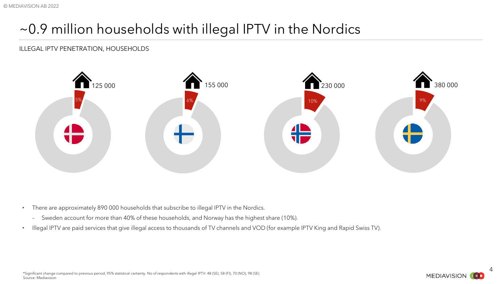# ~0.9 million households with illegal IPTV in the Nordics

# ILLEGAL IPTV PENETRATION, HOUSEHOLDS



- There are approximately 890 000 households that subscribe to illegal IPTV in the Nordics.
	- Sweden account for more than 40% of these households, and Norway has the highest share (10%).
- Illegal IPTV are paid services that give illegal access to thousands of TV channels and VOD (for example IPTV King and Rapid Swiss TV).

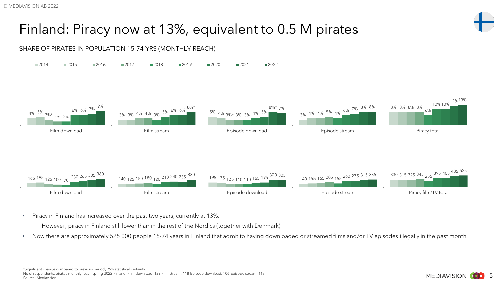# Finland: Piracy now at 13%, equivalent to 0.5 M pirates



- Piracy in Finland has increased over the past two years, currently at 13%.
	- − However, piracy in Finland still lower than in the rest of the Nordics (together with Denmark).
- Now there are approximately 525 000 people 15-74 years in Finland that admit to having downloaded or streamed films and/or TV episodes illegally in the past month.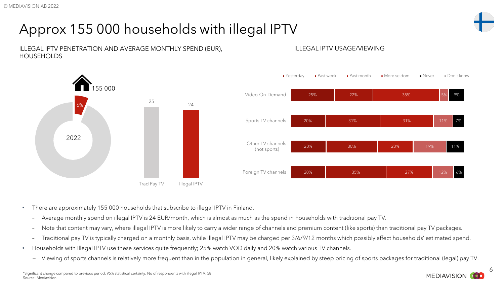# Approx 155 000 households with illegal IPTV



### ILLEGAL IPTV PENETRATION AND AVERAGE MONTHLY SPEND (EUR), ILLEGAL IPTV USAGE/VIEWING HOUSEHOLDS





- There are approximately 155 000 households that subscribe to illegal IPTV in Finland.
	- Average monthly spend on illegal IPTV is 24 EUR/month, which is almost as much as the spend in households with traditional pay TV.
	- Note that content may vary, where illegal IPTV is more likely to carry a wider range of channels and premium content (like sports) than traditional pay TV packages.
	- Traditional pay TV is typically charged on a monthly basis, while Illegal IPTV may be charged per 3/6/9/12 months which possibly affect households' estimated spend.
- Households with Illegal IPTV use these services quite frequently; 25% watch VOD daily and 20% watch various TV channels.
	- − Viewing of sports channels is relatively more frequent than in the population in general, likely explained by steep pricing of sports packages for traditional (legal) pay TV.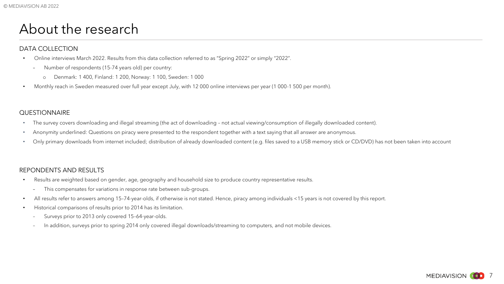# About the research

### DATA COLLECTION

- Online interviews March 2022. Results from this data collection referred to as "Spring 2022" or simply "2022".
	- Number of respondents (15-74 years old) per country:
		- o Denmark: 1 400, Finland: 1 200, Norway: 1 100, Sweden: 1 000
- Monthly reach in Sweden measured over full year except July, with 12 000 online interviews per year (1 000-1 500 per month).

### **QUESTIONNAIRE**

- The survey covers downloading and illegal streaming (the act of downloading not actual viewing/consumption of illegally downloaded content).
- Anonymity underlined: Questions on piracy were presented to the respondent together with a text saying that all answer are anonymous.
- Only primary downloads from internet included; distribution of already downloaded content (e.g. files saved to a USB memory stick or CD/DVD) has not been taken into account

## REPONDENTS AND RESULTS

- Results are weighted based on gender, age, geography and household size to produce country representative results.
	- This compensates for variations in response rate between sub-groups.
- All results refer to answers among 15–74-year-olds, if otherwise is not stated. Hence, piracy among individuals <15 years is not covered by this report.
- Historical comparisons of results prior to 2014 has its limitation.
	- Surveys prior to 2013 only covered 15–64-year-olds.
	- In addition, surveys prior to spring 2014 only covered illegal downloads/streaming to computers, and not mobile devices.